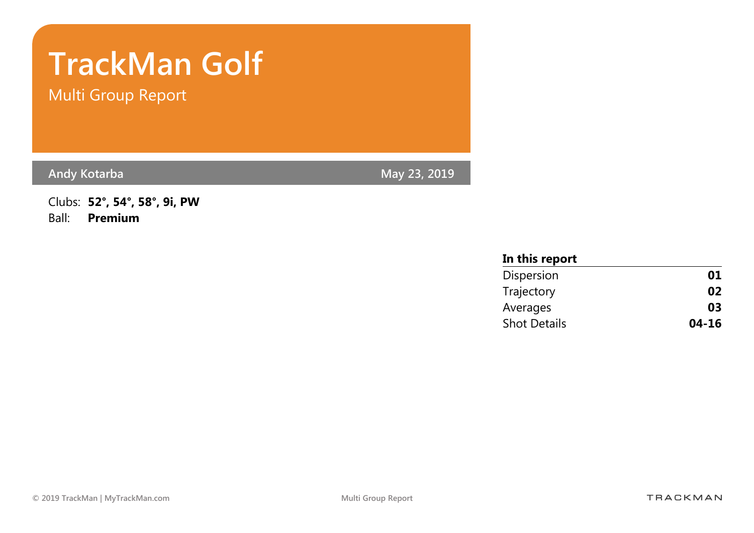# TrackMan Golf

Multi Group Report

Andy Kotarba May 23, 2019

Clubs: 52°, 54°, 58°, 9i, PW Ball: Premium

| In this report      |           |
|---------------------|-----------|
| Dispersion          | 01        |
| Trajectory          | 02        |
| Averages            | 03        |
| <b>Shot Details</b> | $04 - 16$ |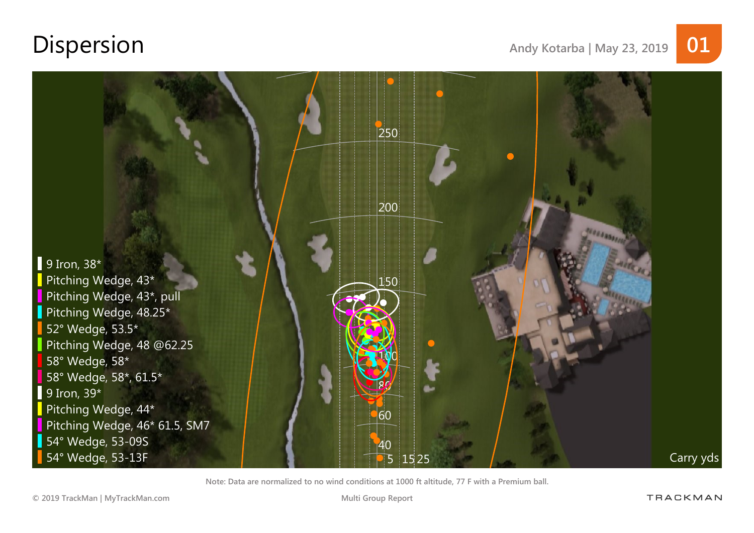## Dispersion Andy Kotarba | May 23, 2019 01

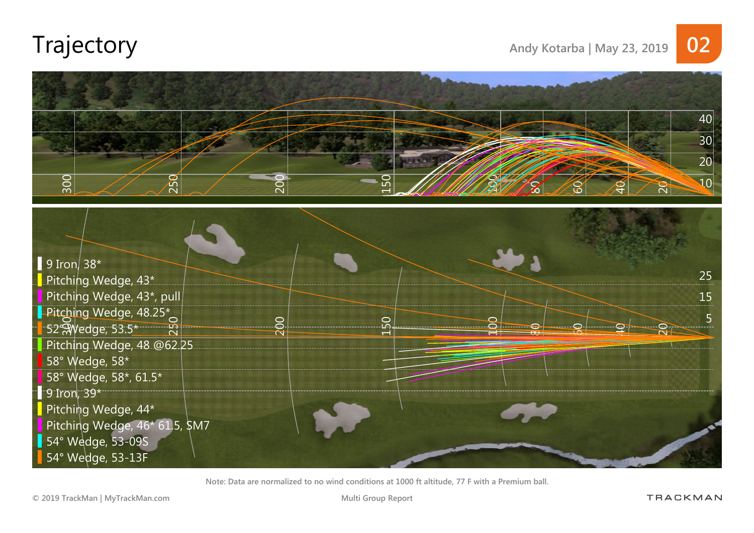

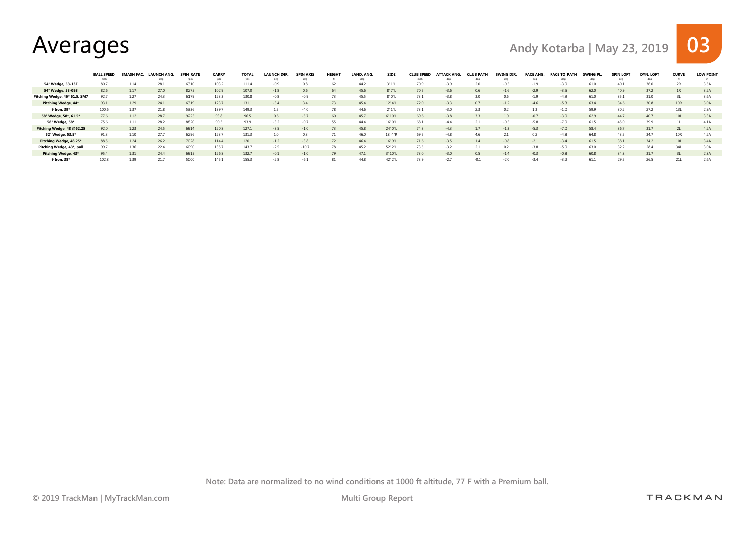Averages and May Kotarba | May 23, 2019 03

|                               | <b>BALL SPEED</b> | SMASH FAC. | . LAUNCH ANG. | <b>SPIN RATE</b> | CARRY | <b>TOTAL</b> | <b>LAUNCH DIR.</b> | <b>SPIN AXIS</b> | <b>HEIGHT</b> | LAND, ANG. | <b>SIDE</b> | <b>CLUB SPEED</b> | <b>ATTACK ANG.</b> | <b>CLUB PATH</b> | SWING DIR | <b>FACE ANG.</b> | <b>FACE TO PATH</b> | SWING PL. | <b>SPIN LOFT</b> | <b>DYN, LOFT</b> | <b>CURVE</b> | <b>LOW POINT</b> |
|-------------------------------|-------------------|------------|---------------|------------------|-------|--------------|--------------------|------------------|---------------|------------|-------------|-------------------|--------------------|------------------|-----------|------------------|---------------------|-----------|------------------|------------------|--------------|------------------|
|                               | mph               |            |               |                  |       |              |                    |                  |               |            |             |                   |                    |                  |           |                  |                     |           |                  |                  |              |                  |
| 54° Wedge, 53-13F             | 80.7              |            | 28.1          | 6310             | 103.2 | 111.4        | $-0.9$             | 0.8              | h/            | 44.2       |             |                   |                    |                  |           |                  | $-3.9$              | 61.0      | 40.1             | 36.0             | 2R           | 3.5A             |
| 54° Wedge, 53-09S             | 82.6              | 1.17       | 27.0          | 8275             | 102.9 | 107.0        | $-1.8$             | 0.6              | 64            | 45.6       | 8'7"L       | 70.5              | $-3.6$             | 0.6              | $-1.6$    | $-2.9$           | $-3.5$              | 62.0      | 40.9             | 37.2             | 1R           | 3.2A             |
| Pitching Wedge, 46* 61.5, SM7 |                   |            | 24.3          | 6179             | 123.3 | 130.8        | $-0.8$             | $-0.9$           |               | 45.5       | 8' 0"L      | 73.1              | $-3.8$             |                  | 0.6       | $-1.9$           | $-4.9$              | 61.0      | 35.1             |                  |              | 3 6A             |
| Pitching Wedge, 44*           | 93.1              | 1.29       | 24.1          | 6319             | 123.7 | 131.1        | $-3.4$             | 3.4              | 73            | 45.4       | 12' 4"L     | 72.0              | $-3.3$             | 0.7              | $-1.2$    | $-4.6$           | $-5.3$              | 63.4      | 34.6             | 30.8             | 10R          | 3.0A             |
| 9 Iron, 39*                   | 100.6             |            | 21.8          | 5336             | 139.7 | 149.3        | 1.5                | $-4.0$           |               | 44.6       |             | 73.1              |                    |                  |           |                  | $-1.0$              | 59.9      | 30.2             |                  | 13L          | 29A              |
| 58° Wedge, 58*, 61.5*         | 77.6              | 1.12       | 28.7          | 9225             | 93.8  | 96.5         | 0.6                | $-5.7$           | 60            | 45.7       | 6' 10"L     | 69.6              | $-3.8$             | 3.3              | 1.0       | $-0.7$           | $-3.9$              | 62.9      | 44.7             | 40.7             | 10L          | 3.3A             |
| 58° Wedge, 58*                | 75.6              | 1.11       | 28.2          | 8820             | 90.3  | 93.9         | $-3.2$             | $-0.7$           | 55            | 44.4       | 16' 0"      | 68.1              |                    |                  | $-0.5$    | $-5.8$           | $-7.9$              | 61.5      | 45.0             | 39.9             |              |                  |
| Pitching Wedge, 48 @62.25     | 92.0              | 1.23       | 24.5          | 6914             | 120.8 | 127.1        | $-3.5$             | $-1.0$           | 73            | 45.8       | 24' 0"      | 74.3              | $-43$              | 1.7              | $-1.3$    | $-5.3$           | $-7.0$              | 58.4      | 36.7             | 31.7             |              | 4.2A             |
| 52° Wedge, 53.5*              | 91.3              | 1.10       | 27.7          | 6296             | 123.7 | 131.3        | 1.0                | 0.3              |               | 46.0       | 18' 4"F     | 69.5              |                    | 4.6              | 2.1       | 0.2              | $-4.8$              | 64.8      | 43.5             | 34.7             | 10R          | 4.2A             |
| Pitching Wedge, 48.25*        | 88.5              | 1.24       | 26.2          | 7028             | 114.4 | 120.1        | $-1.2$             | $-3.8$           |               | 46.4       | 16' 9"L     | 71.6              | $-3.5$             | 1.4              | $-0.8$    | $-2.1$           | $-3.4$              | 61.5      | 38.1             | 34.2             | 10L          | 3.4A             |
| Pitching Wedge, 43*, pull     | 99.7              | 1.36       | 22.4          | 6090             | 135.7 | 143.7        | $-2.5$             | $-10.7$          |               | 45.2       | 52' 2"L     | 73.5              | $-3.2$             |                  | 0.2       | $-3.8$           | $-5.9$              | 63.0      | 32.2             | 28.4             | 34L          | 3.0A             |
| Pitching Wedge, 43*           | 95.4              | 1.31       | 24.4          | 6915             | 126.8 | 132.7        | $-0.1$             | $-1.0$           | 79            | 47.1       | 3' 10"L     | 73.0              | $-3.0$             | 0.5              | $-1.4$    | $-0.3$           | $-0.8$              | 60.8      | 34.8             | 31.7             |              | 2.8A             |
| 9 Iron, 38*                   | 102.8             | 1.39       | 21.7          | 5000             | 145.1 | 155.3        | $-2.8$             | $-6.1$           |               | 44.8       | 42' 2"L     | 73.9              | $-2.7$             | $-0.1$           | $-2.0$    | $-3.4$           | $-3.2$              | 61.1      | 29.5             | 26.5             | 21L          | 2.6A             |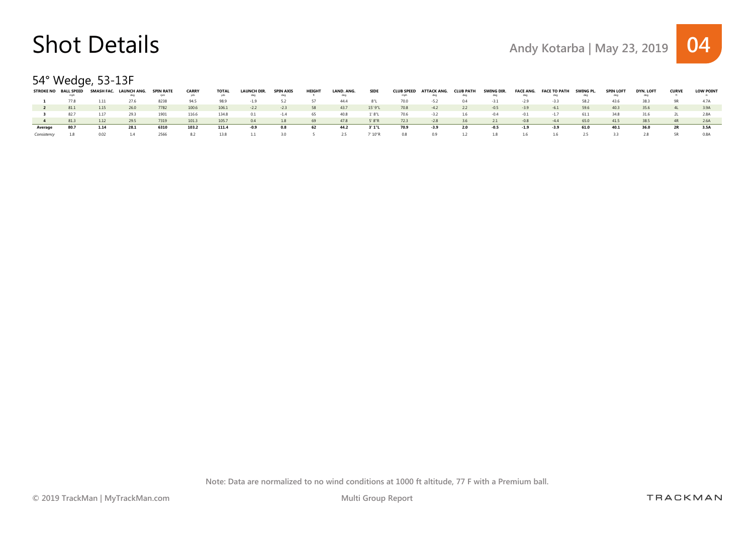54° Wedge, 53-13F

| <b>STROKE NO</b> | <b>BALL SPEED</b> | SMASH FAC. | LAUNCH ANG. | <b>SPIN RATE</b> | <b>CARRY</b> | <b>TOTAL</b> | <b>LAUNCH DIR.</b> | SPIN AXIS | HEIGH | LAND. ANG. | <b>SIDE</b> | <b>CLUB SPEED</b> | ATTACK ANG. | <b>CLUB PATH</b> | SWING DIR. | <b>FACE ANG.</b> | <b>FACE TO PATH</b> | SWING PL | <b>SPIN LOF</b> | <b>DYN. LOFT</b> | <b>CURVE</b> | <b>LOW POINT</b> |
|------------------|-------------------|------------|-------------|------------------|--------------|--------------|--------------------|-----------|-------|------------|-------------|-------------------|-------------|------------------|------------|------------------|---------------------|----------|-----------------|------------------|--------------|------------------|
|                  |                   |            |             | rpm              |              |              |                    |           |       |            |             | mph               |             |                  |            |                  |                     |          |                 |                  |              |                  |
|                  | 77.8              | 1.11       | 27.6        | 8238             | 94.5         | 98.9         | $-1.9$             |           |       | 44.4       |             | 70.0              | $-5.2$      | 0.4              |            |                  | $-3.3$              | 58.2     | 43.6            | 38.3             |              |                  |
|                  | 81.1              | 1.15       | 26.0        | 7782             | 100.6        | 106.1        | $-2.2$             | $-2.3$    | 58    | 43.7       | 15' 9"L     | 70.8              | $-4.2$      | 2.2              | $-0.5$     | $-3.9$           | $-6.1$              | 59.6     | 40.3            | 35.6             |              | 3.9A             |
|                  | 82.7              | 1.17       | 29.3        | 1901             | 116.6        | 134.8        |                    | -14       | -65   | 40.8       | 1'8"L       | 70.6              | $-5.2$      | 1.6              | $-0.4$     |                  |                     | 61.1     | 34.8            | 31.6             |              | 2.8A             |
|                  | 81.3              | 1.12       | 29.5        | 7319             | 101.3        | 105.7        | 04                 | 1.8       | -69   | 47.8       | 5'8"R       | 72.3              | $-2.8$      | 3.6              |            | $-0.8$           | $-4.4$              | 65.0     | 41.5            | 38.5             | 4R           | 2.6A             |
| Average          | 80.7              | 1.14       | 28.1        | 6310             | 103.2        | 111.4        | $-0.9$             | 0.8       | 62    | 44.2       | 3' 1"L      | 70.9              | $-3.9$      | 2.0              | $-0.5$     | $-1.9$           | $-3.9$              | 61.0     | 40.1            | 36.0             | 2R           | 3.5A             |
| Consistency      |                   |            |             | 2566             |              | 13.8         |                    | 30.       |       |            | " 10"R      | 0.8               |             |                  |            | 16               | 1.6                 |          |                 | 28               | 5R           | 0.8A             |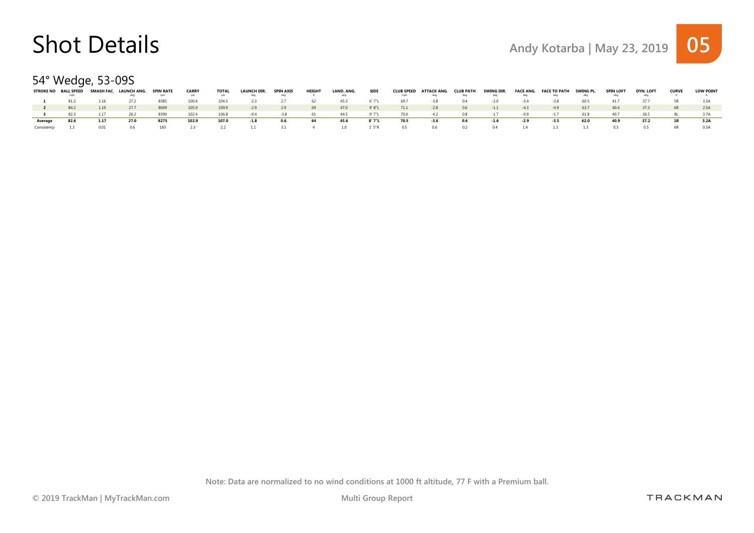### 54° Wedge, 53-09S

|             | <b>STROKE NO BALL SPEED</b> | SMASH FAC. | LAUNCH ANG. | SPIN RATE | <b>CARRY</b> | TOTAL | <b>LAUNCH DIR.</b> | <b>SPIN AXIS</b> | <b>HEIGHT</b> | LAND, ANG. | <b>SIDE</b> |      | CLUB SPEED ATTACK ANG. | <b>CLUB PATH</b> | SWING DIR. |        | FACE ANG. FACE TO PATH | SWING PL. | <b>SPIN LOFT</b> | <b>DYN. LOFT</b> | <b>CURVE</b> | <b>LOW POINT</b> |
|-------------|-----------------------------|------------|-------------|-----------|--------------|-------|--------------------|------------------|---------------|------------|-------------|------|------------------------|------------------|------------|--------|------------------------|-----------|------------------|------------------|--------------|------------------|
|             |                             |            |             | rpm       |              | yds   | deq                | deq              |               | deq        |             | mph  |                        | deq              |            |        |                        |           |                  | dea              |              |                  |
|             | 81.2                        | 1.16       | 27.2        | 8385      | 100.4        | 104.5 | $-2.3$             |                  | 62            | 45.3       | 6' 7"       | 69.7 | $-3.8$                 | 04               | $-20$      | $-34$  | $-3.8$                 | 60.5      | 417              |                  | 5R.          |                  |
|             | 84.2                        | 1.19       | 27.7        | 8049      | 105.9        | 109.9 | $-2.9$             | 2.9              | 69            | 47.0       | 9'8"L       | 71.1 | $-2.8$                 | 0.6              | $-1.1$     | $-43$  | $-4.9$                 | 63.7      | 40.4             | 37.3             | 6R           | 2.5A             |
|             | 823                         |            |             | 8390      | 1024         | 106.8 |                    |                  |               | 44.5       | 9'7''1      | 70.6 | $-42$                  | 0.8              | $-1.7$     |        | $-1.7$                 |           | 40.7             | 365              |              |                  |
| Average     | 82.6                        | 1.17       | 27.0        | 8275      | 102.9        | 107.0 | $-1.8$             | 0.6              | 64            | 45.6       | 8' 7"L      | 70.5 | $-3.6$                 | 0.6              | $-1.6$     | $-2.9$ | $-3.5$                 | 62.0      | 40.9             | 37.2             | 1R           | 3.2A             |
| Consistencv |                             |            | 06.         | 160       |              |       |                    |                  |               | າ ດ        | L' 5"R      | 0.5  | 06.                    | 0.2              | 04         |        |                        |           |                  | 05               |              | 0.5A             |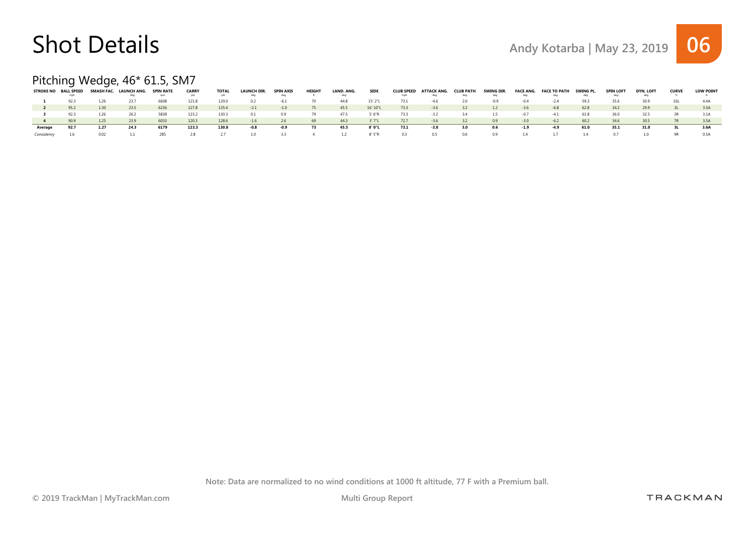

### Pitching Wedge, 46\* 61.5, SM7

|         | <b>STROKE NO BALL SPEED</b> |      | SMASH FAC. LAUNCH ANG. | <b>SPIN RATE</b> | <b>CARRY</b> | <b>TOTAL</b> | <b>LAUNCH DIR.</b> | <b>SPIN AXIS</b> | <b>HEIGHT</b> | LAND, ANG. | <b>SIDE</b> | <b>CLUB SPEED</b> | <b>ATTACK ANG.</b> | <b>CLUB PATH</b> | SWING DIR. | FACE ANG. | <b>FACE TO PATH</b> | SWING PL | <b>SPIN LOFT</b> | <b>DYN, LOFT</b> | <b>CURVE</b> | <b>LOW POINT</b> |
|---------|-----------------------------|------|------------------------|------------------|--------------|--------------|--------------------|------------------|---------------|------------|-------------|-------------------|--------------------|------------------|------------|-----------|---------------------|----------|------------------|------------------|--------------|------------------|
|         | mph                         |      |                        | rom              |              | vds          | dea                | dea              |               | dea        |             | mph               |                    | deg              |            | dea       | dec                 | dea      |                  | dea              |              |                  |
|         | 92.3                        |      | 23.7                   | 6608             | 121.8        | 129.0        |                    |                  |               | 44.8       | 15' 2"I     | 73.1              |                    |                  |            |           |                     | 593      |                  | 30.9             |              | 44A              |
|         | 95.2                        | 1.30 | 23.5                   | 6236             | 127.8        | 135.4        | $-2.1$             | $-1.0$           | 75            | 45.5       | 16' 10"L    | 73.3              | $-3.6$             | 3.2              | 1.2        | $-3.6$    | $-6.8$              | 62.8     | 34.2             | 29.9             |              | 3.5A             |
|         | 92.3                        | 1.26 | 26.2                   | 5838             | 123.2        | 130.3        | 0.1                | 0.9              |               | 47.5       | 3' 6"R      | 73.3              | -3.2               | 3.4              |            | $-0.7$    | $-4.1$              | 61.8     | 36.0             | 32.5             | 3R           | 3.1A             |
|         | 90.9                        | 1.25 | 23.9                   | 6033             | 120.3        | 128.6        | $-1.6$             | 2.6              | 69            | 44.3       | 3'7''L      | 72.7              | $-3.6$             |                  | 0.9        | $-3.0$    | $-6.2$              | 60.2     |                  | 30.5             |              | 3.5A             |
| Average | 92.7                        | 1.27 | 24.3                   | 6179             | 123.3        | 130.8        | $-0.8$             | $-0.9$           | 73            | 45.5       | 8' 0"L      | 73.1              | -3.8               | 3.0              | 0.6        | $-1.9$    | -4.9                | 61.0     | 35.1             | 31.0             |              | 3.6A             |
|         | 1.6                         |      |                        | 285              |              |              |                    |                  |               |            | 8'5''R      | 0.3               | 05                 | 06               |            |           |                     |          |                  | 1.0              |              | 0.5A             |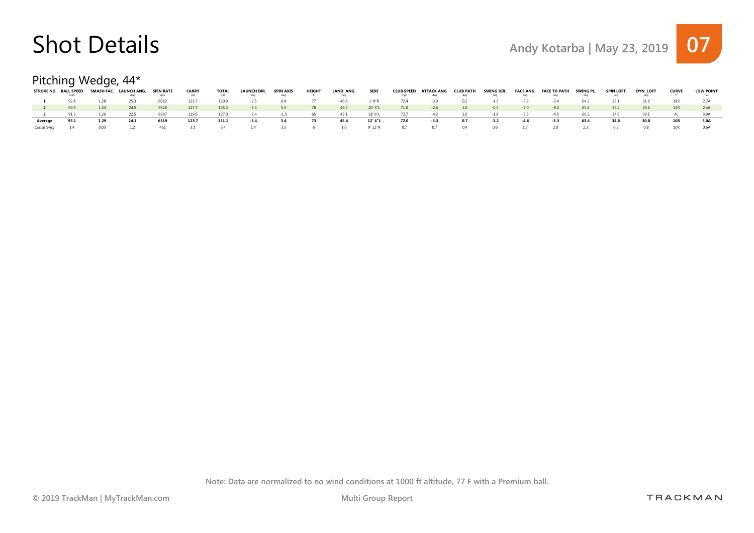#### Pitching Wedge, 44\*

|         | STROKE NO BALL SPEED |      | SMASH FAC. LAUNCH ANG. | <b>SPIN RATE</b> | <b>CARRY</b> | TOTAL | LAUNCH DIR. | <b>SPIN AXIS</b> | <b>HEIGHT</b> | LAND, ANG. | <b>SIDE</b> |      | <b>CLUB SPEED ATTACK ANG.</b> | <b>CLUB PATH</b> | SWING DIR. | <b>FACE ANG.</b> | FACE TO PATH | SWING PL. | <b>SPIN LOFT</b> | <b>DYN. LOFT</b> | <b>CURVE</b> | <b>LOW POINT</b> |
|---------|----------------------|------|------------------------|------------------|--------------|-------|-------------|------------------|---------------|------------|-------------|------|-------------------------------|------------------|------------|------------------|--------------|-----------|------------------|------------------|--------------|------------------|
|         |                      |      |                        | rpm              |              | vds   |             | deg              |               | dea        |             | mph  |                               | deq              |            |                  |              |           |                  |                  |              |                  |
|         | 92.8                 | 1.28 | 25.3                   | 6062             | 1237         | 130.9 | $-2.5$      | 64               |               | 46.6       | .'8"R       | 72.4 | $-3.0$                        | 0.2              | $-15$      | $-32$            | $-34$        | 64.2      |                  | 31.9             |              |                  |
|         | 94.9                 | 1.34 | 24.5                   | 5928             | 1277         | 135.3 | $-5.3$      | 53               | 78            | 46.3       | 20' 3"L     | 71.0 | $-2.6$                        | 1.0              | $-0.5$     | $-70$            | $-8.0$       | 65.6      | 34.2             | 30.6             |              | 2.4A             |
|         | 91.5                 | 1.26 | 22.5                   | 6967             | 119.6        | 127.0 | $-2.4$      | $-1.5$           | 65            | 43.1       | 18' 6"L     | 72.7 | $-4.2$                        | 1.0              | $-1.8$     | $-3.5$           | $-4.5$       | 60.2      | 34.6             | 30.1             |              |                  |
| Average | 93.1                 |      | 24.1                   | 6319             | 123.7        | 131.1 | $-3.4$      | -3.4             | 73            | 45.4       | 12' 4"L     | 72.0 | -3.3                          | 0.7              | -1.2       | $-4.6$           | -5.3         | 63.4      | 34.6             | 30.8             |              | 3.0A             |
|         |                      |      |                        | 461              |              |       |             | 35.              |               | 16.        | 9' 11"R     | 07   |                               |                  | 06         |                  |              |           |                  | 0.8              |              | 0.6A             |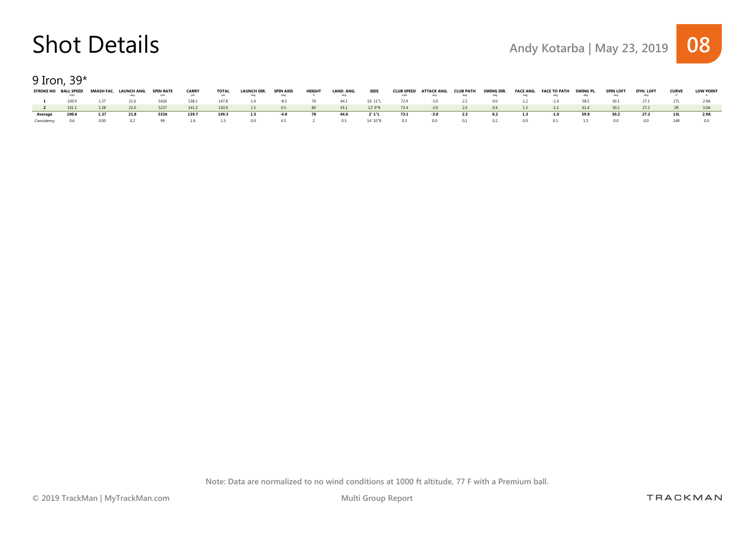9 Iron, 39\*

|         |       |      | STROKE NO BALL SPEED SMASH FAC. LAUNCH ANG. SPIN RATE | rpm  | <b>CARRY</b> | <b>TOTAL</b><br>vds | <b>LAUNCH DIR.</b> | <b>SPIN AXIS</b><br>deg | HEIGHT | LAND, ANG. | <b>SIDE</b> | mph  | CLUB SPEED ATTACK ANG. CLUB PATH | deq | SWING DIR.     |    | FACE ANG. FACE TO PATH SWING PL. |      | <b>SPIN LOFT</b> | DYN. LOFT | <b>CURVE</b> | <b>LOW POINT</b> |
|---------|-------|------|-------------------------------------------------------|------|--------------|---------------------|--------------------|-------------------------|--------|------------|-------------|------|----------------------------------|-----|----------------|----|----------------------------------|------|------------------|-----------|--------------|------------------|
|         | 100.0 | 137  | 21.6                                                  | 5436 | 1381         | 1478                |                    | $-85$                   | -76    | 44.1       | 16' 11"L    | 72.9 | $-3.0$                           | 2.2 | 0.0            |    | $-1.0$                           | 58.5 |                  |           |              |                  |
|         |       | 1.38 | 22.0                                                  | 5237 | 141.3        | 150.9               | 1.5                | 0.5                     | 80     | 45.1       | 12' 9"R     | 73.4 | $-3.0$                           | 24  | 04             | 13 | $-1.1$                           | 614  | 302              | 27.2      |              |                  |
| Average | 100.6 | 1.37 | 21.8                                                  | 5336 | 139.7        | 149.3               | 1.5                | -4.0                    | - 78   | 44.6       | 2' 1"L      | 73.1 | -3.0                             | 2.3 | 0.2            |    | $-1.0$                           | 59.9 | 30.2             | 27.2      |              | 2.9A             |
|         |       | n nn | n 2                                                   | 99   |              | <b>15</b>           | n n                | 45                      |        | 0.5        | 14' 10"R    | 03   | n n                              | 0 1 | 0 <sup>2</sup> | nn |                                  |      |                  | nn        |              |                  |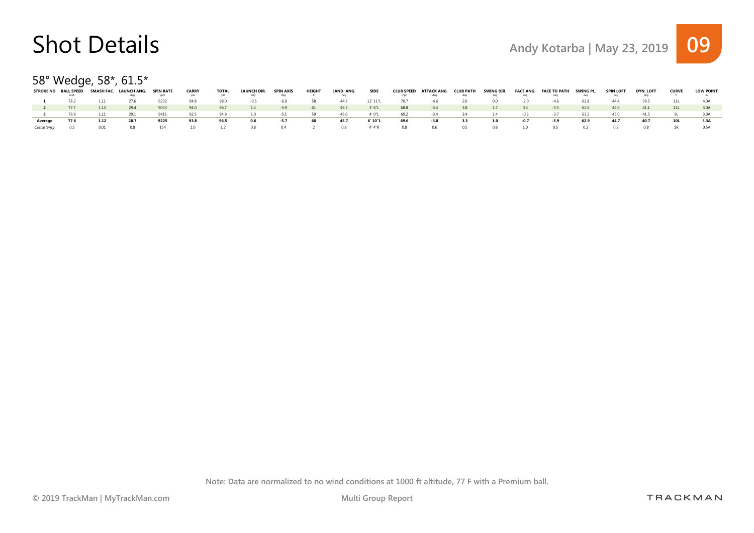#### 58° Wedge, 58\*, 61.5\*

|         | <b>STROKE NO BALL SPEED</b> |      | SMASH FAC. LAUNCH ANG. | <b>SPIN RATE</b> | <b>CARRY</b> | <b>TOTAL</b> | <b>LAUNCH DIR.</b> | <b>SPIN AXIS</b> | <b>HEIGHT</b> | LAND. ANG. | <b>SIDE</b> | <b>CLUB SPEED</b> | ATTACK ANG. | <b>CLUB PATH</b> | SWING DIR. |        | FACE ANG. FACE TO PATH | SWING PL. | <b>SPIN LOFT</b> | <b>DYN. LOFT</b> | <b>CURVE</b> | <b>LOW POINT</b> |
|---------|-----------------------------|------|------------------------|------------------|--------------|--------------|--------------------|------------------|---------------|------------|-------------|-------------------|-------------|------------------|------------|--------|------------------------|-----------|------------------|------------------|--------------|------------------|
|         |                             |      |                        | rpm              |              | yds          |                    |                  |               |            |             | mph               |             | deg              |            |        |                        |           |                  |                  |              |                  |
|         | 78.2                        | 1.11 | 27.6                   | 9232             | 94.8         | 98.0         | -0.5               | -60              | -58           | 44.7       | 12' 11"L    | 70.7              | -46         | 2.6              |            | $-20$  | $-46$                  | 62.8      | 444              | 39.5             |              | 4.0A             |
|         | 77.7                        | 1.13 | 29.4                   | 9033             | 94.0         | 96.7         | 1.4                | $-5.9$           | 61            | 46.5       | 3'6''L      | 68.8              | $-3.4$      | 3.8              | 1.7        | 0.3    | $-3.5$                 | 62.6      | 44.6             | 41.1             |              | 3.0A             |
|         | 76 Q                        | 111  | 29.1                   | 9411             | 025          | 949          |                    | $-51$            | 50            | 460        | 4' 0"1      | 692               | $-34$       | 34               |            | $-0.3$ | $-37$                  | 632       | 45.0             | 41.5             |              | 3 N A            |
| Average | 77.6                        | 1.12 | 28.7                   | 9225             | 93.8         | 96.5         | 0.6                | -5.7             | -60           | 45.7       | 6' 10"L     | 69.6              | $-3.8$      |                  | 1.0        | -0.7   | -3.9                   | 62.9      | 44.7             | 40.7             |              | 3.3A             |
|         |                             |      |                        | 154              |              |              | n s                | 04               |               | 0.8        | 4' 4"R      | 0.8               | 06.         | 0.5 L            | 0.8        | 1 O    |                        |           |                  | 0.8              |              | 0.5A             |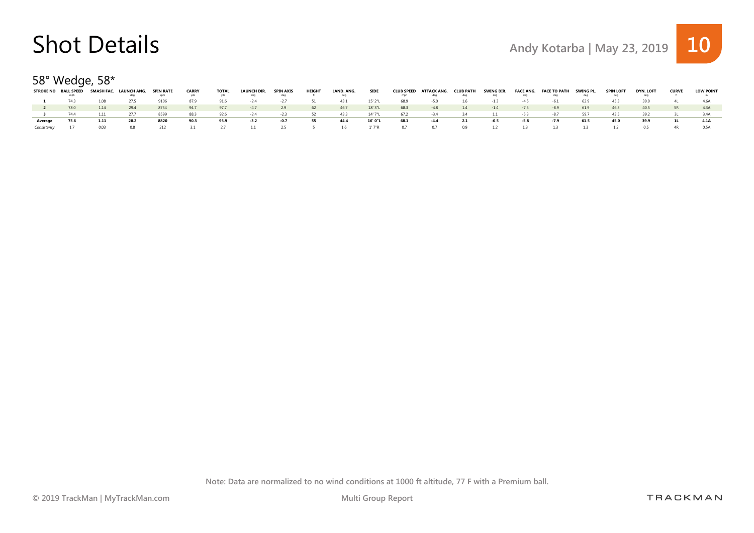#### 58° Wedge, 58\*

|         | <b>STROKE NO BALL SPEED</b> |      | SMASH FAC. LAUNCH ANG. | <b>SPIN RATE</b> | <b>CARRY</b> | <b>TOTAL</b> | LAUNCH DIR. | <b>SPIN AXIS</b> | <b>HEIGHT</b> | LAND, ANG. | <b>SIDE</b> | <b>CLUB SPEED</b> | ATTACK ANG. | <b>CLUB PATH</b> | SWING DIR. |       | FACE ANG. FACE TO PATH | SWING PL. | <b>SPIN LOFT</b> | <b>DYN. LOFT</b> | <b>CURVE</b> | <b>LOW POINT</b> |
|---------|-----------------------------|------|------------------------|------------------|--------------|--------------|-------------|------------------|---------------|------------|-------------|-------------------|-------------|------------------|------------|-------|------------------------|-----------|------------------|------------------|--------------|------------------|
|         |                             |      |                        | rpm              |              |              |             | deg              |               |            |             | mph               |             |                  |            |       |                        |           |                  |                  |              |                  |
|         | 743                         |      |                        | 9106             | 879          | 91.6         |             |                  |               | 43.1       | 15' 2"L     | 68.9              | -50         | 1.6              |            |       | $-h1$                  | 62.9      | 453.             |                  |              |                  |
|         | 78.0                        | 1.14 | 29.4                   | 8754             | 94.7         | 97.7         | $-4.7$      | 2.9              | 62            | 46.7       | 18' 3"L     | 68.3              | $-48$       | 14               | $-14$      | $-75$ | $-8.9$                 | 61.9      | 46.3             | 40.5             | 5R           | 4 3 A            |
|         | 744                         | 1.11 |                        | 8599             | 883          | 92.6         |             |                  |               | 433        | 14' 7"      | 67.2              | $-34$       | 34               |            |       | $-87$                  | 597       | 43.5             | 392              |              |                  |
| Average | 75.6                        |      | 28.2                   | 8820             | 90.3         | 93.9         | $-3.2$      | -0.7             | 55            | 44.4       | 16' 0"L     | 68.1              | $-4.4$      |                  | -0.5       |       | -7.9                   | 61.5      | 45.0             | 39.9             |              | 4.1A             |
|         |                             |      |                        |                  |              |              |             | 25.              |               | 16.        | ' 7"R       | 0.7               |             | 09               |            |       |                        |           |                  | 05               |              | 0.5A             |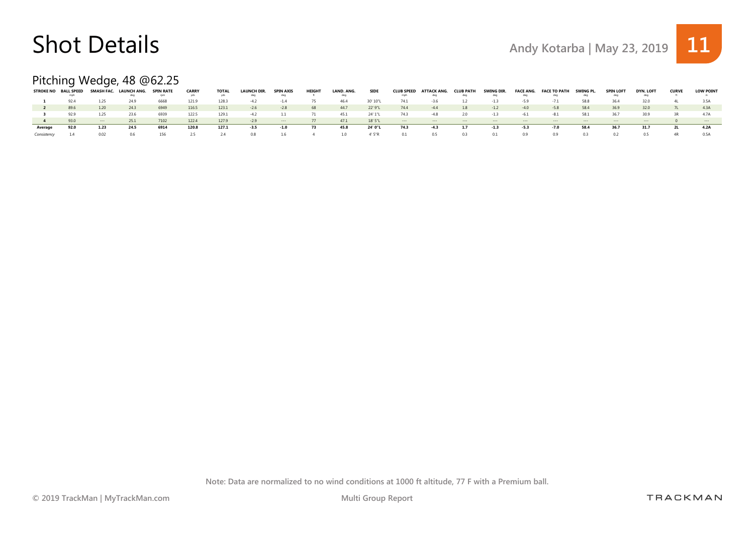



### Pitching Wedge, 48 @62.25

| <b>STROKE NO</b> | <b>BALL SPEED</b><br>mph | <b>SMASH FAC.</b> | . LAUNCH ANG. | <b>SPIN RATE</b><br>rpm | <b>CARRY</b> | <b>TOTAL</b> | <b>LAUNCH DIR.</b><br>deg | SPIN AXIS<br>deg     | HEIGH | LAND, ANG. | <b>SIDE</b> | <b>CLUB SPEED</b><br>mph | ATTACK ANG.<br>deg   | <b>CLUB PATH</b><br>deq        | SWING DIR. | deq    | <b>FACE ANG. FACE TO PATH</b><br>aeq | SWING PL  | <b>SPIN LOF</b>      | <b>DYN. LOFT</b><br>deg       | <b>CURVE</b> | <b>LOW POINT</b> |
|------------------|--------------------------|-------------------|---------------|-------------------------|--------------|--------------|---------------------------|----------------------|-------|------------|-------------|--------------------------|----------------------|--------------------------------|------------|--------|--------------------------------------|-----------|----------------------|-------------------------------|--------------|------------------|
|                  | 92.4                     | 1.25              | 24.9          | 6668                    | 121.9        | 128.3        | -4 2                      |                      |       | 46.4       | 30' 10"L    | 74.1                     |                      |                                |            |        |                                      | 58.8      | 36.4                 | 32.0                          |              | 3.5A             |
|                  | 89.6                     | 1.20              | 24.3          | 6949                    | 116.5        | 123.1        | $-2.6$                    | $-2.8$               | -68   | 44.7       | 22' 9"L     | 74.4                     | $-4.4$               | 1.8                            | $-1.2$     | $-4.0$ | $-5.8$                               | 58.4      | 36.9                 | 32.0                          |              | 4.3A             |
|                  | 92.9                     | 1.25              | 23.6          | 6939                    | 122.5        | 129.1        | $-4.2$                    |                      |       | 45.1       | 24' 1"L     | 74.3                     | $-4.8$               | 2.0                            | $-1.3$     | $-6.1$ | $-8.1$                               | 58.1      | 36.7                 | 30.9                          | R.           | 4.7A             |
|                  | 93.0                     | $- - - -$         | 25.1          | 7102                    | 122.4        | 127.9        | $-2.9$                    | $\sim$ $\sim$ $\sim$ | 77    | 47.1       | 18' 5"L     | $\sim$ --- $\sim$        | $\sim$ $\sim$ $\sim$ | and the company of the company | $\cdots$   | $--$   | $\sim$ $\sim$ $\sim$                 | $- - - -$ | $\sim$ $\sim$ $\sim$ | and the state of the state of |              | $- - -$          |
| Average          | 92.0                     | 1.23              | 24.5          | 6914                    | 120.8        | 127.1        | $-3.5$                    | $-1.0$               | 73    | 45.8       | 24' 0"L     | 74.3                     | $-4.3$               | 1.7                            | $-1.3$     | $-5.3$ | $-7.0$                               | 58.4      | 36.7                 | 31.7                          |              | 4.2A             |
| Consistency      |                          | 0.02              |               | 156                     | 2.5          | 2.4          | 0.8                       | 16                   |       | 10         | 4' 5"R      | 0.1                      | 0.5                  | 0.3                            |            | 0.9    | 0.9                                  | 0.3       |                      | 0.5                           | 4R           | 0.5A             |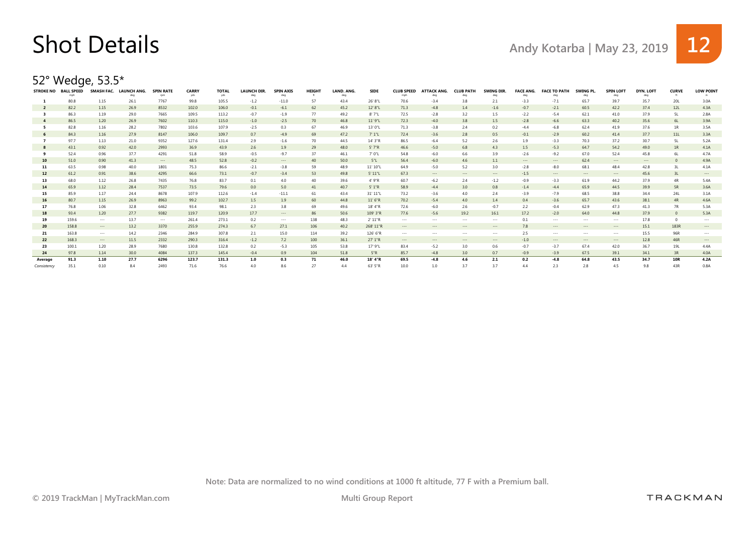

52° Wedge, 53.5\*

| <b>STROKE NO</b> | <b>BALL SPEED</b> | SMASH FAC.           | LAUNCH ANG.<br>dea | <b>SPIN RATE</b><br>rpm | <b>CARRY</b><br>yds | <b>TOTAL</b><br>yds | <b>LAUNCH DIR.</b><br>deg | <b>SPIN AXIS</b><br>deg | <b>HEIGHT</b><br>- ft | LAND, ANG.<br>deq | <b>SIDE</b> | <b>CLUB SPEED</b>    | <b>ATTACK ANG.</b><br>deq | <b>CLUB PATH</b><br>deg | <b>SWING DIR</b><br>deg | <b>FACE ANG.</b><br>deg | <b>FACE TO PATH</b><br>deg | SWING PL<br>deg | <b>SPIN LOFT</b><br>deg | DYN, LOFT<br>deg | <b>CURVE</b>   | <b>LOW POINT</b> |
|------------------|-------------------|----------------------|--------------------|-------------------------|---------------------|---------------------|---------------------------|-------------------------|-----------------------|-------------------|-------------|----------------------|---------------------------|-------------------------|-------------------------|-------------------------|----------------------------|-----------------|-------------------------|------------------|----------------|------------------|
|                  | 80.8              | 1.15                 | 26.1               | 7767                    | 99.8                | 105.5               | $-1.2$                    | $-11.0$                 | 57                    | 43.4              | 26' 8"L     | 70.6                 | $-3.4$                    | 3.8                     | 2.1                     | $-3.3$                  | $-7.1$                     | 65.7            | 39.7                    | 35.7             | 20L            | 3.0A             |
| $\overline{2}$   | 82.2              | 1.15                 | 26.9               | 8532                    | 102.0               | 106.0               | $-0.1$                    | $-6.1$                  | 62                    | 45.2              | 12' 8"L     | 71.3                 | $-4.8$                    | 1.4                     | $-1.6$                  | $-0.7$                  | $-2.1$                     | 60.5            | 42.2                    | 37.4             | 12L            | 4.3A             |
|                  | 86.3              | 1.19                 | 29.0               | 7665                    | 109.5               | 113.2               | $-0.7$                    | $-1.9$                  | 77                    | 49.2              | 8'7"L       | 72.5                 | $-2.8$                    | 3.2                     | 1.5                     | $-2.2$                  | $-5.4$                     | 62.1            | 41.0                    | 37.9             | <b>5L</b>      | 2.8A             |
| -4               | 86.5              | 1.20                 | 26.9               | 7602                    | 110.3               | 115.0               | $-1.0$                    | $-2.5$                  | 70                    | 46.8              | 11' 9"L     | 72.3                 | $-4.0$                    | 3.8                     | 1.5                     | $-2.8$                  | $-6.6$                     | 63.3            | 40.2                    | 35.6             | 6L             | 3.9A             |
|                  | 82.8              | 1.16                 | 28.2               | 7802                    | 103.6               | 107.9               | $-2.5$                    | 0.3                     | 67                    | 46.9              | 13' 0"L     | 71.3                 | $-3.8$                    | 2.4                     | 0.2                     | $-4.4$                  | $-6.8$                     | 62.4            | 41.9                    | 37.6             | 1R             | 3.5A             |
| 6                | 84.3              | 1.16                 | 27.9               | 8147                    | 106.0               | 109.7               | 0.7                       | $-4.9$                  | 69                    | 47.2              | 7' 1"L      | 72.4                 | $-3.6$                    | 2.8                     | 0.5                     | $-0.1$                  | $-2.9$                     | 60.2            | 41.4                    | 37.7             | 11L            | 3.3A             |
|                  | 97.7              | 1.13                 | 21.0               | 9352                    | 127.6               | 131.4               | 2.9                       | $-1.6$                  | 70                    | 44.5              | 14' 3"R     | 86.5                 | $-6.4$                    | 5.2                     | 2.6                     | 1.9                     | $-3.3$                     | 70.3            | 37.2                    | 30.7             | 5L             | 5.2A             |
|                  | 43.1              | 0.92                 | 42.0               | 2993                    | 36.9                | 43.9                | 2.6                       | 1.9                     | 29                    | 48.0              | 5' 7"R      | 46.6                 | $-5.0$                    | 6.8                     | 4.3                     | 1.5                     | $-5.3$                     | 64.7            | 54.2                    | 49.0             | 1R             | 4.1A             |
|                  | 52.4              | 0.96                 | 37.7               | 4291                    | 51.8                | 58.9                | $-0.5$                    | $-9.7$                  | 37                    | 46.1              | 7' 0"L      | 54.8                 | $-6.0$                    | 6.6                     | 3.9                     | $-2.6$                  | $-9.2$                     | 67.0            | 52.4                    | 45.8             | 6L             | 4.7A             |
| 10               | 51.0              | 0.90                 | 41.3               | $\cdots$                | 48.5                | 52.8                | $-0.2$                    | $\cdots$                | 40                    | 50.0              | 5"L         | 56.4                 | $-6.0$                    | 4.6                     | 1.1                     | $\cdots$                | $\cdots$                   | 62.4            | $\cdots$                | $\cdots$         | $\Omega$       | 4.9A             |
| 11               | 63.5              | 0.98                 | 40.0               | 1801                    | 75.3                | 86.6                | $-2.1$                    | $-3.8$                  | 59                    | 48.9              | 11' 10"L    | 64.9                 | $-5.0$                    | 5.2                     | 3.0                     | $-2.8$                  | $-8.0$                     | 68.1            | 48.4                    | 42.8             | 3L             | 4.1A             |
| 12               | 61.2              | 0.91                 | 38.6               | 4295                    | 66.6                | 73.1                | $-0.7$                    | $-3.4$                  | 53                    | 49.8              | 5' 11"L     | 67.3                 | $\cdots$                  | $\cdots$                | $\cdots$                | $-1.5$                  | $\cdots$                   | $\cdots$        | $\cdots$                | 45.6             | 3L             | $\cdots$         |
| 13               | 68.0              | 1.12                 | 26.8               | 7435                    | 76.8                | 83.7                | 0.1                       | 4.0                     | 40                    | 39.6              | 4' 9"R      | 60.7                 | $-6.2$                    | 2.4                     | $-1.2$                  | $-0.9$                  | $-3.3$                     | 61.9            | 44.2                    | 37.9             | 4 <sub>R</sub> | 5.4A             |
| 14               | 65.9              | 1.12                 | 28.4               | 7537                    | 73.5                | 79.6                | 0.0                       | 5.0                     | 41                    | 40.7              | 5' 1"R      | 58.9                 | $-4.4$                    | 3.0                     | 0.8                     | $-1.4$                  | $-4.4$                     | 65.9            | 44.5                    | 39.9             | 5R             | 3.6A             |
| 15               | 85.9              | 1.17                 | 24.4               | 8678                    | 107.9               | 112.6               | $-1.4$                    | $-11.1$                 | 61                    | 43.4              | 31'11"L     | 73.2                 | $-3.6$                    | 4.0                     | 2.4                     | $-3.9$                  | $-7.9$                     | 68.5            | 38.8                    | 34.4             | 24L            | 3.1A             |
| 16               | 80.7              | 1.15                 | 26.9               | 8963                    | 99.2                | 102.7               | 1.5                       | 1.9                     | 60                    | 44.8              | 11'6'R      | 70.2                 | $-5.4$                    | 4.0                     | 1.4                     | 0.4                     | $-3.6$                     | 65.7            | 43.6                    | 38.1             | 4R             | 4.6A             |
| 17               | 76.8              | 1.06                 | 32.8               | 6462                    | 93.4                | 98.1                | 2.3                       | 3.8                     | 69                    | 49.6              | 18' 4"R     | 72.6                 | $-6.0$                    | 2.6                     | $-0.7$                  | 2.2                     | $-0.4$                     | 62.9            | 47.3                    | 41.3             | 7R             | 5.3A             |
| 18               | 93.4              | 1.20                 | 27.7               | 9382                    | 119.7               | 120.9               | 17.7                      | $\cdots$                | 86                    | 50.6              | 109' 3"R    | 77.6                 | $-5.6$                    | 19.2                    | 16.1                    | 17.2                    | $-2.0$                     | 64.0            | 44.8                    | 37.9             | $\Omega$       | 5.3A             |
| 19               | 159.6             | $\sim$ $\sim$ $\sim$ | 13.7               | $\sim$ $\sim$ $\sim$    | 261.4               | 273.1               | 0.2                       | $\cdots$                | 138                   | 48.3              | 2' 11''R    | $- - -$              | $- - -$                   | $- - -$                 | $\cdots$                | 0.1                     | $\cdots$                   | $\cdots$        | $\cdots$                | 17.8             |                | $\cdots$         |
| 20               | 158.8             | $\cdots$             | 13.2               | 3370                    | 255.9               | 274.3               | 6.7                       | 27.1                    | 106                   | 40.2              | 268' 11"R   | $\cdots$             | $\cdots$                  | $\sim$ $\sim$ $\sim$    | $\cdots$                | 78                      | $\cdots$                   | $\cdots$        | $\cdots$                | 15.1             | 183R           | $---$            |
| 21               | 163.8             | $\sim$ $\sim$ $\sim$ | 14.2               | 2346                    | 284.9               | 307.8               | 2.1                       | 15.0                    | 114                   | 39.2              | 126' 6"R    | $\sim$ $\sim$ $\sim$ | $\sim$ $\sim$ $\sim$      | $\sim$ $\sim$ $\sim$    | $\cdots$                | 2.5                     | $\sim$ $\sim$ $\sim$       | $\cdots$        | $\cdots$                | 15.5             | 96R            | $\cdots$         |
| 22               | 168.3             | $--$                 | 11.5               | 2332                    | 290.3               | 316.4               | $-1.2$                    | 7.2                     | 100                   | 36.1              | 27' 1"R     | $\cdots$             | $\cdots$                  | $\cdots$                | $\cdots$                | $-1.0$                  | $\cdots$                   | $\cdots$        | $\cdots$                | 12.8             | 46R            | $\cdots$         |
| 23               | 100.1             | 1.20                 | 28.9               | 7680                    | 130.8               | 132.8               | 0.2                       | $-5.3$                  | 105                   | 53.8              | 17' 9"L     | 83.4                 | $-5.2$                    | 3.0                     | 0.6                     | $-0.7$                  | $-3.7$                     | 67.4            | 42.0                    | 36.7             | 19L            | 4.4A             |
| 24               | 97.8              | 1.14                 | 30.0               | 4084                    | 137.3               | 145.4               | $-0.4$                    | 0.9                     | 104                   | 51.8              | 5"R         | 85.7                 | $-4.8$                    | 3.0                     | 0.7                     | $-0.9$                  | $-3.9$                     | 67.5            | 39.1                    | 34.1             | 3R             | 4.0A             |
| Average          | 91.3              | 1.10                 | 27.7               | 6296                    | 123.7               | 131.3               | 1.0                       | 0.3                     | 71                    | 46.0              | 18' 4"R     | 69.5                 | $-4.8$                    | 4.6                     | 2.1                     | 0.2                     | $-4.8$                     | 64.8            | 43.5                    | 34.7             | 10R            | 4.2A             |
| Consistency      | 35.1              | 0.10                 |                    | 2493                    | 71.6                | 76.6                | 40                        |                         | 27                    | 44                | 63' 5"R     | 10.0                 | 10                        | 37                      | 37                      | $\Delta$                | 2.3                        | 28              | 45                      | 9.8              | 43R            | 0.8A             |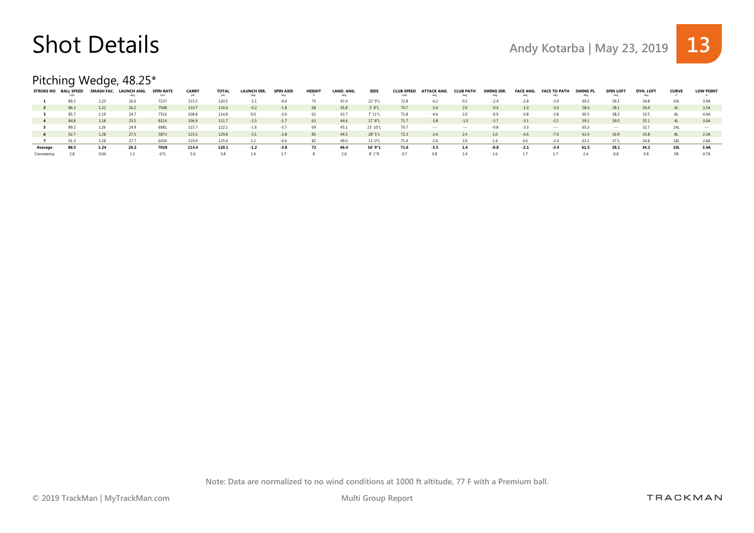#### Pitching Wedge, 48.25\*

|             | STROKE NO BALL SPEED | SMASH FAC. | LAUNCH ANG. | <b>SPIN RATE</b> | <b>CARRY</b> | <b>TOTAL</b> | LAUNCH DIR. | <b>SPIN AXIS</b> | <b>HEIGHT</b> | LAND. ANG. | <b>SIDE</b> | <b>CLUB SPEED</b> | ATTACK ANG. | <b>CLUB PATH</b> | SWING DIR. | <b>FACE ANG.</b> | <b>FACE TO PATH</b> | SWING PL | <b>SPIN LOFT</b> | <b>DYN. LOFT</b> | <b>CURVE</b> | <b>LOW POINT</b> |
|-------------|----------------------|------------|-------------|------------------|--------------|--------------|-------------|------------------|---------------|------------|-------------|-------------------|-------------|------------------|------------|------------------|---------------------|----------|------------------|------------------|--------------|------------------|
|             |                      |            |             | rpm              |              |              |             | dec              |               |            |             | mph               |             |                  |            |                  |                     |          |                  |                  |              |                  |
|             | 89.2                 |            |             | 7237             | 115.5        | 120.5        | $-21$       |                  |               | 474        | 22' 9"L     | 72.8              | $-42$       | 0.2              |            |                  | $-30$               | 60.5     |                  | 34.8             |              |                  |
|             | 86.3                 | 1.22       | 26.2        | 7048             | 110.7        | 116.6        | $-0.2$      | $-1.8$           | 68            | 45.8       | 5'8"L       | 70.7              | $-3.6$      | 2.0              | $-0.4$     | $-1.0$           | $-3.0$              | 58.4     | 38.1             | 34.4             | 41           | 3.5A             |
|             | 85.7                 | 1.19       | 247         | 7516             | 108.8        | 114.8        | 0.0         | $-3.6$           | 62            | 43.7       | 7' 11"L     | 71.8              | $-46$       | 2.0              | -0.9       | $-0.8$           | $-2.8$              | 60.5     | 38.2             | 33.5             |              | 44A              |
|             | 84.8                 | 1.18       | 25.5        | 8114             | 106.9        | 111.7        | $-2.5$      | $-1.7$           | 63            | 44.6       | 17' 8"L     | 71.7              | $-3.8$      | $-1.0$           | $-3.7$     | $-3.1$           | $-2.1$              | 59.1     | 39.0             | 35.1             |              | 3.6A             |
|             | 89.2                 | 1.26       |             | 6981             | 115.7        | 122.1        | $-1.6$      |                  | 69            | 45.1       | 23' 10"     | 70.7              | $\cdots$    |                  |            | $-3.3$           | $\sim$ $\sim$       | 65.3     | $\cdots$         |                  |              |                  |
|             | 92.7                 | 1.28       | 27.5        | 5873             | 123.5        | 129.8        | $-3.1$      | $-2.8$           | 85            | 49.2       | 28' 5"L     | 72.3              | $-2.4$      | 2.4              | 1.0        | $-4.6$           | $-7.0$              | 63.4     | 36.9             | 33.8             | -8L          | 2.3A             |
|             | 91.3                 | 1.28       | 27.7        | 6430             | 119.9        | 125.4        |             |                  |               | 49.0       | 11' 0"L     | 71.4              |             |                  |            | 0.6              | $-24$               | 63.1     |                  | 34.8             |              | 2.6A             |
| Average     | 88.5                 | 1.24       | 26.2        | 7028             | 114.4        | 120.1        | $-1.2$      | $-3.8$           | 72            | 46.4       | 16' 9"L     | 71.6              | $-3.5$      | 1.4              | -0.8       | $-2.1$           | $-3.4$              | 61.5     | 38.1             | 34.2             | 10L          | 3.4A             |
| Consistency |                      | 0.04       |             | 671              |              | 58           |             |                  |               |            | 8'1"R       | 0.7               |             |                  |            |                  |                     | 2.4      |                  | 0.8              |              | 0.7A             |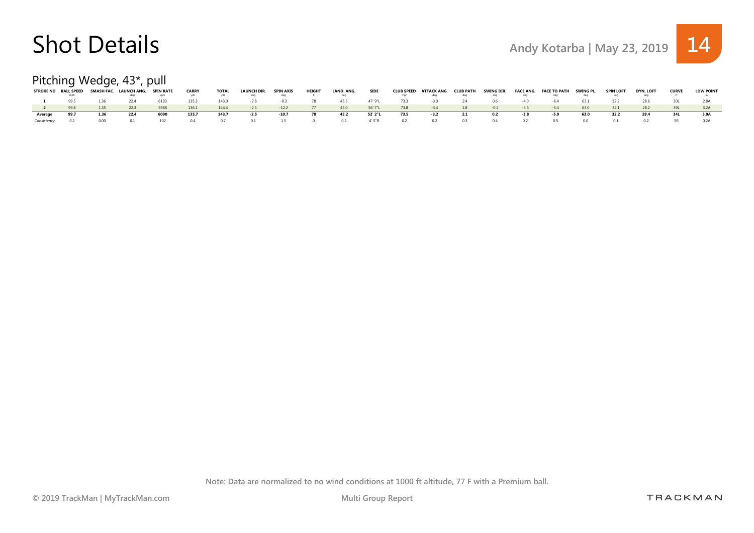#### Pitching Wedge, 43\*, pull

| <b>STROKE NO</b> | <b>BALL SPEED</b> |      | SMASH FAC. LAUNCH ANG. | <b>SPIN RATE</b> | <b>CARRY</b> | <b>TOTAL</b> | <b>LAUNCH DIR.</b> | <b>SPIN AXIS</b> | <b>HEIGHT</b> | LAND. ANG. | <b>SIDE</b> |      | CLUB SPEED ATTACK ANG. | <b>CLUB PATH</b> | SWING DIR. |        | FACE ANG. FACE TO PATH | SWING PL. | <b>SPIN LOFT</b> | <b>DYN, LOFT</b> | <b>CURVE</b> | <b>LOW POINT</b> |
|------------------|-------------------|------|------------------------|------------------|--------------|--------------|--------------------|------------------|---------------|------------|-------------|------|------------------------|------------------|------------|--------|------------------------|-----------|------------------|------------------|--------------|------------------|
|                  |                   |      |                        |                  |              |              | aea                | deq              |               | deg        |             |      |                        | deg              |            |        |                        |           |                  |                  |              |                  |
|                  | 995               |      | 22.4                   | 6193             | 135.3        | 143.0        | $-2.6$             | $-93$            |               | 45.5       | 47' 9"I     | 73.3 |                        |                  | 06         |        | $-h4$                  | 63.1      | 32.2             | 28.6             |              |                  |
|                  | 998               | 1.35 | 22.3                   | 5988             | 136.1        | 144.4        | $-2.5$             | $-12.2$          | 77            | 45.0       | 56' 7"L     | 73.8 | $-3.4$                 | 1.8              | $-0.2$     | $-3.6$ | $-5.4$                 | 63.0      | 32.1             | 28.2             |              |                  |
| Average          | 99.7              | 1.36 | 22.4                   | 6090             | 135.7        | 143.7        | $-2.5$             | $-10.7$          | 78            | 45.2       | 52' 2"L     | 73.5 | $-3.2$                 | 2.1              | 0.2        | -3.8   | -5.9                   | 63.0      | 32.2             | 28.4             |              | 3.0A             |
|                  |                   | n nn |                        | 102              |              |              |                    | 15               |               | 0.2        | 4' 5"R      | 0.2  | 0.2                    | 03               | 04         | 02     | $\cup$                 |           |                  |                  |              |                  |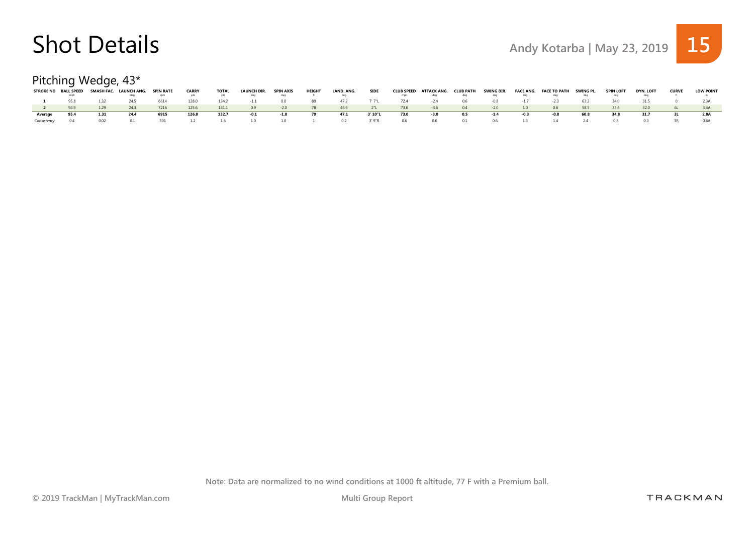#### Pitching Wedge, 43\*

|         | STROKE NO BALL SPEED |       | SMASH FAC. LAUNCH ANG. | <b>SPIN RATE</b> | <b>CARRY</b> | <b>TOTAL</b> | <b>LAUNCH DIR.</b> | <b>SPIN AXIS</b> | <b>HEIGHT</b> | LAND. ANG. | <b>SIDE</b> |      | CLUB SPEED ATTACK ANG. | <b>CLUB PATH</b> | SWING DIR. |     | FACE ANG. FACE TO PATH | SWING PL. | <b>SPIN LOFT</b> | <b>DYN. LOFT</b> | <b>CURVE</b> | <b>LOW POINT</b> |
|---------|----------------------|-------|------------------------|------------------|--------------|--------------|--------------------|------------------|---------------|------------|-------------|------|------------------------|------------------|------------|-----|------------------------|-----------|------------------|------------------|--------------|------------------|
|         |                      |       |                        |                  |              |              | dea                | deq              |               | deg        |             |      |                        | deg              |            |     |                        |           |                  |                  |              |                  |
|         | 95.8                 |       | 24.5                   | 6614             | 128.0        | 134.2        |                    | 00               | -80           |            | 7' 7"I      | 72.4 |                        | 0.6              | -0.8       |     | -2.5                   | 63.2      | 34 N             |                  |              |                  |
|         |                      | 1.29  | 24.3                   | 7216             | 125.6        | 131.1        | 0.9                | $-2.0$           | 78            | 46.9       | 2"L         | 73.6 | $-3.6$                 | 0.4              | $-2.0$     | 1.0 | 0.6                    | 58.5      | 35.6             | 32.0             |              |                  |
| Average | 95.4                 | 1.31  | 24.4                   | 6915             | 126.8        | 132.7        | $-0.1$             | $-1.0$           | 79            | 47.1       | 3'10"L      | 73.0 | -3.0                   | 0.5              | $-1.4$     |     | -0.8                   | 60.8      | 34.8             | 31.7             |              | 2.8A             |
|         |                      | n n 2 |                        | 301.             |              | 1.6          | 10                 | 10               |               | 0.2        | 3'9''R      | 0.6  | 06                     | 01               | 06.        |     |                        |           |                  |                  |              | 0 6 A            |